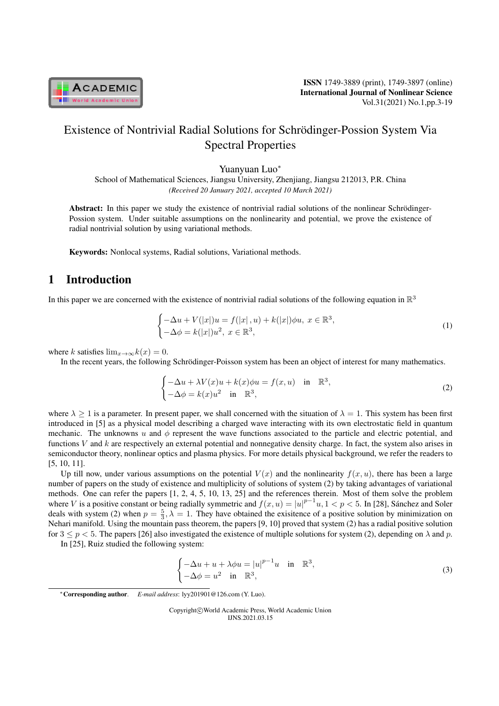

ISSN 1749-3889 (print), 1749-3897 (online) International Journal of Nonlinear Science Vol.31(2021) No.1,pp.3-19

# Existence of Nontrivial Radial Solutions for Schrödinger-Possion System Via Spectral Properties

Yuanyuan Luo*<sup>∗</sup>*

School of Mathematical Sciences, Jiangsu University, Zhenjiang, Jiangsu 212013, P.R. China *(Received 20 January 2021, accepted 10 March 2021)*

Abstract: In this paper we study the existence of nontrivial radial solutions of the nonlinear Schrödinger-Possion system. Under suitable assumptions on the nonlinearity and potential, we prove the existence of radial nontrivial solution by using variational methods.

Keywords: Nonlocal systems, Radial solutions, Variational methods.

# 1 Introduction

In this paper we are concerned with the existence of nontrivial radial solutions of the following equation in  $\mathbb{R}^3$ 

$$
\begin{cases}\n-\Delta u + V(|x|)u = f(|x|, u) + k(|x|) \phi u, \ x \in \mathbb{R}^3, \\
-\Delta \phi = k(|x|)u^2, \ x \in \mathbb{R}^3,\n\end{cases}
$$
\n(1)

where *k* satisfies  $\lim_{x\to\infty} k(x) = 0$ .

In the recent years, the following Schrödinger-Poisson system has been an object of interest for many mathematics.

$$
\begin{cases}\n-\Delta u + \lambda V(x)u + k(x)\phi u = f(x, u) & \text{in } \mathbb{R}^3, \\
-\Delta \phi = k(x)u^2 & \text{in } \mathbb{R}^3,\n\end{cases}
$$
\n(2)

where  $\lambda \ge 1$  is a parameter. In present paper, we shall concerned with the situation of  $\lambda = 1$ . This system has been first introduced in [5] as a physical model describing a charged wave interacting with its own electrostatic field in quantum mechanic. The unknowns  $u$  and  $\phi$  represent the wave functions associated to the particle and electric potential, and functions *V* and *k* are respectively an external potential and nonnegative density charge. In fact, the system also arises in semiconductor theory, nonlinear optics and plasma physics. For more details physical background, we refer the readers to [5, 10, 11].

Up till now, under various assumptions on the potential  $V(x)$  and the nonlinearity  $f(x, u)$ , there has been a large number of papers on the study of existence and multiplicity of solutions of system (2) by taking advantages of variational methods. One can refer the papers [1, 2, 4, 5, 10, 13, 25] and the references therein. Most of them solve the problem where *V* is a positive constant or being radially symmetric and  $f(x, u) = |u|^{p-1}u$ ,  $1 < p < 5$ . In [28], Sánchez and Soler deals with system (2) when  $p = \frac{5}{3}, \lambda = 1$ . They have obtained the exisitence of a positive solution by minimization on Nehari manifold. Using the mountain pass theorem, the papers [9, 10] proved that system (2) has a radial positive solution for  $3 \le p < 5$ . The papers [26] also investigated the existence of multiple solutions for system (2), depending on  $\lambda$  and  $p$ .

In [25], Ruiz studied the following system:

$$
\begin{cases}\n-\Delta u + u + \lambda \phi u = |u|^{p-1}u & \text{in } \mathbb{R}^3, \\
-\Delta \phi = u^2 & \text{in } \mathbb{R}^3,\n\end{cases}
$$
\n(3)

Copyright*⃝*c World Academic Press, World Academic Union IJNS.2021.03.15

*<sup>∗</sup>*Corresponding author. *E-mail address*: lyy201901@126.com (Y. Luo).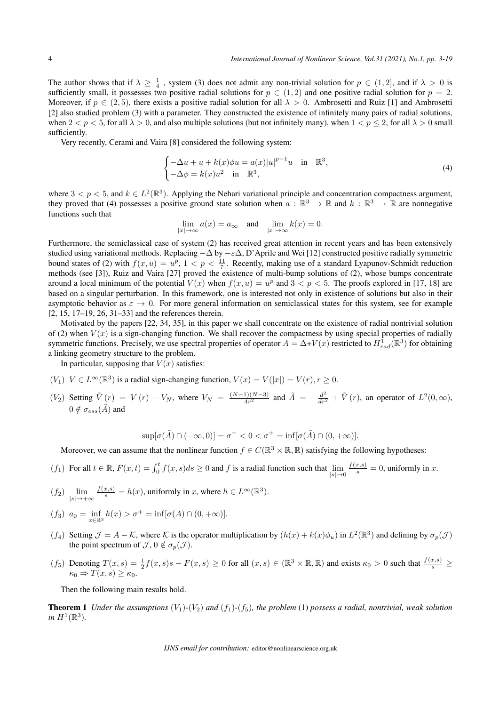The author shows that if  $\lambda \geq \frac{1}{4}$ , system (3) does not admit any non-trivial solution for  $p \in (1,2]$ , and if  $\lambda > 0$  is sufficiently small, it possesses two positive radial solutions for  $p \in (1,2)$  and one positive radial solution for  $p = 2$ . Moreover, if  $p \in (2, 5)$ , there exists a positive radial solution for all  $\lambda > 0$ . Ambrosetti and Ruiz [1] and Ambrosetti [2] also studied problem (3) with a parameter. They constructed the existence of infinitely many pairs of radial solutions, when  $2 < p < 5$ , for all  $\lambda > 0$ , and also multiple solutions (but not infinitely many), when  $1 < p < 2$ , for all  $\lambda > 0$  small sufficiently.

Very recently, Cerami and Vaira [8] considered the following system:

$$
\begin{cases}\n-\Delta u + u + k(x)\phi u = a(x)|u|^{p-1}u & \text{in } \mathbb{R}^3, \\
-\Delta \phi = k(x)u^2 & \text{in } \mathbb{R}^3,\n\end{cases}
$$
\n(4)

where  $3 < p < 5$ , and  $k \in L^2(\mathbb{R}^3)$ . Applying the Nehari variational principle and concentration compactness argument, they proved that (4) possesses a positive ground state solution when  $a : \mathbb{R}^3 \to \mathbb{R}$  and  $k : \mathbb{R}^3 \to \mathbb{R}$  are nonnegative functions such that

$$
\lim_{|x| \to \infty} a(x) = a_{\infty} \quad \text{and} \quad \lim_{|x| \to \infty} k(x) = 0.
$$

Furthermore, the semiclassical case of system (2) has received great attention in recent years and has been extensively studied using variational methods. Replacing *−*∆ by *−ε*∆, D'Aprile and Wei [12] constructed positive radially symmetric bound states of (2) with  $f(x, u) = u^p$ ,  $1 < p < \frac{11}{7}$ . Recently, making use of a standard Lyapunov-Schmidt reduction methods (see [3]), Ruiz and Vaira [27] proved the existence of multi-bump solutions of (2), whose bumps concentrate around a local minimum of the potential  $V(x)$  when  $f(x, u) = u^p$  and  $3 < p < 5$ . The proofs explored in [17, 18] are based on a singular perturbation. In this framework, one is interested not only in existence of solutions but also in their asymptotic behavior as  $\varepsilon \to 0$ . For more general information on semiclassical states for this system, see for example [2, 15, 17–19, 26, 31–33] and the references therein.

Motivated by the papers [22, 34, 35], in this paper we shall concentrate on the existence of radial nontrivial solution of (2) when  $V(x)$  is a sign-changing function. We shall recover the compactness by using special properties of radially symmetric functions. Precisely, we use spectral properties of operator  $A = \Delta + V(x)$  restricted to  $H_{rad}^1(\mathbb{R}^3)$  for obtaining a linking geometry structure to the problem.

In particular, supposing that  $V(x)$  satisfies:

- $(V_1)$  *V* ∈ *L*∞( $\mathbb{R}^3$ ) is a radial sign-changing function,  $V(x) = V(|x|) = V(r)$ ,  $r \ge 0$ .
- $(V_2)$  Setting  $\tilde{V}(r) = V(r) + V_N$ , where  $V_N = \frac{(N-1)(N-3)}{4r^2}$  $\frac{41(N-3)}{4r^2}$  and  $\tilde{A} = -\frac{d^2}{dr^2} + \tilde{V}(r)$ , an operator of  $L^2(0,\infty)$ ,  $0 \notin \sigma_{ess}(\tilde{A})$  and

$$
\sup[\sigma(\tilde{A}) \cap (-\infty, 0)] = \sigma^- < 0 < \sigma^+ = \inf[\sigma(\tilde{A}) \cap (0, +\infty)].
$$

Moreover, we can assume that the nonlinear function  $f \in C(\mathbb{R}^3 \times \mathbb{R}, \mathbb{R})$  satisfying the following hypotheses:

- $(f_1)$  For all  $t \in \mathbb{R}$ ,  $F(x,t) = \int_0^t f(x,s)ds \ge 0$  and  $f$  is a radial function such that  $\lim_{|s| \to 0}$  $\frac{f(x,s)}{s} = 0$ , uniformly in *x*.
- $(f_2)$   $\lim_{|s| \to +\infty}$  $\frac{f(x,s)}{s} = h(x)$ , uniformly in *x*, where  $h \in L^{\infty}(\mathbb{R}^3)$ .

$$
(f_3) \ \ a_0 = \inf_{x \in \mathbb{R}^3} h(x) > \sigma^+ = \inf [\sigma(A) \cap (0, +\infty)].
$$

- (*f*<sub>4</sub>) Setting  $\mathcal{J} = A \mathcal{K}$ , where  $\mathcal{K}$  is the operator multiplication by  $(h(x) + k(x)\phi_u)$  in  $L^2(\mathbb{R}^3)$  and defining by  $\sigma_p(\mathcal{J})$ the point spectrum of  $\mathcal{J}, 0 \notin \sigma_p(\mathcal{J})$ .
- $(f_5)$  Denoting  $T(x,s) = \frac{1}{2}f(x,s)s F(x,s) \ge 0$  for all  $(x,s) \in (\mathbb{R}^3 \times \mathbb{R}, \mathbb{R})$  and exists  $\kappa_0 > 0$  such that  $\frac{f(x,s)}{s} \ge 0$  $\kappa_0 \Rightarrow T(x,s) \geq \kappa_0.$

Then the following main results hold.

**Theorem 1** *Under the assumptions*  $(V_1)$ - $(V_2)$  *and*  $(f_1)$ - $(f_5)$ *, the problem* (1) *possess a radial, nontrivial, weak solution* in  $H^1(\mathbb{R}^3)$ .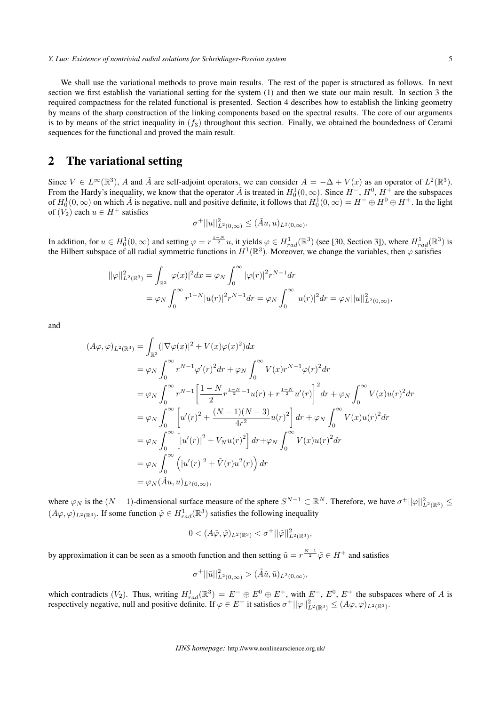We shall use the variational methods to prove main results. The rest of the paper is structured as follows. In next section we first establish the variational setting for the system (1) and then we state our main result. In section 3 the required compactness for the related functional is presented. Section 4 describes how to establish the linking geometry by means of the sharp construction of the linking components based on the spectral results. The core of our arguments is to by means of the strict inequality in  $(f_3)$  throughout this section. Finally, we obtained the boundedness of Cerami sequences for the functional and proved the main result.

### 2 The variational setting

Since  $V \in L^{\infty}(\mathbb{R}^3)$ , *A* and  $\tilde{A}$  are self-adjoint operators, we can consider  $A = -\Delta + V(x)$  as an operator of  $L^2(\mathbb{R}^3)$ . From the Hardy's inequality, we know that the operator  $\tilde{A}$  is treated in  $H_0^1(0,\infty)$ . Since  $H^-, H^0, H^+$  are the subspaces of  $H_0^1(0,\infty)$  on which  $\tilde{A}$  is negative, null and positive definite, it follows that  $H_0^1(0,\infty) = H^- \oplus H^0 \oplus H^+$ . In the light of  $(V_2)$  each  $u \in H^+$  satisfies

$$
\sigma^+ ||u||^2_{L^2(0,\infty)} \leq (\tilde{A}u, u)_{L^2(0,\infty)}.
$$

In addition, for  $u \in H_0^1(0,\infty)$  and setting  $\varphi = r^{\frac{1-N}{2}}u$ , it yields  $\varphi \in H_{rad}^1(\mathbb{R}^3)$  (see [30, Section 3]), where  $H_{rad}^1(\mathbb{R}^3)$  is the Hilbert subspace of all radial symmetric functions in  $H^1(\mathbb{R}^3)$ . Moreover, we change the variables, then  $\varphi$  satisfies

$$
\begin{aligned} ||\varphi||_{L^2(\mathbb{R}^3)}^2 &= \int_{\mathbb{R}^3} |\varphi(x)|^2 dx = \varphi_N \int_0^\infty |\varphi(r)|^2 r^{N-1} dr \\ &= \varphi_N \int_0^\infty r^{1-N} |u(r)|^2 r^{N-1} dr = \varphi_N \int_0^\infty |u(r)|^2 dr = \varphi_N ||u||_{L^2(0,\infty)}^2, \end{aligned}
$$

and

$$
(A\varphi, \varphi)_{L^2(\mathbb{R}^3)} = \int_{\mathbb{R}^3} (|\nabla \varphi(x)|^2 + V(x)\varphi(x)^2) dx
$$
  
\n
$$
= \varphi_N \int_0^\infty r^{N-1} \varphi'(r)^2 dr + \varphi_N \int_0^\infty V(x) r^{N-1} \varphi(r)^2 dr
$$
  
\n
$$
= \varphi_N \int_0^\infty r^{N-1} \left[ \frac{1 - N}{2} r^{\frac{1 - N}{2} - 1} u(r) + r^{\frac{1 - N}{2}} u'(r) \right]^2 dr + \varphi_N \int_0^\infty V(x) u(r)^2 dr
$$
  
\n
$$
= \varphi_N \int_0^\infty \left[ u'(r)^2 + \frac{(N-1)(N-3)}{4r^2} u(r)^2 \right] dr + \varphi_N \int_0^\infty V(x) u(r)^2 dr
$$
  
\n
$$
= \varphi_N \int_0^\infty \left[ |u'(r)|^2 + V_N u(r)^2 \right] dr + \varphi_N \int_0^\infty V(x) u(r)^2 dr
$$
  
\n
$$
= \varphi_N \int_0^\infty \left( |u'(r)|^2 + \tilde{V}(r) u^2(r) \right) dr
$$
  
\n
$$
= \varphi_N (\tilde{A}u, u)_{L^2(0, \infty)},
$$

where  $\varphi_N$  is the  $(N-1)$ -dimensional surface measure of the sphere  $S^{N-1} \subset \mathbb{R}^N$ . Therefore, we have  $\sigma^+||\varphi||^2_{L^2(\mathbb{R}^3)} \leq$  $(A\varphi, \varphi)_{L^2(\mathbb{R}^3)}$ . If some function  $\tilde{\varphi} \in H^1_{rad}(\mathbb{R}^3)$  satisfies the following inequality

$$
0 < (A\tilde{\varphi}, \tilde{\varphi})_{L^2(\mathbb{R}^3)} < \sigma^+ ||\tilde{\varphi}||^2_{L^2(\mathbb{R}^3)},
$$

by approximation it can be seen as a smooth function and then setting  $\tilde{u} = r^{\frac{N-1}{2}} \tilde{\varphi} \in H^+$  and satisfies

$$
\sigma^+ ||\tilde{u}||^2_{L^2(0,\infty)} > (\tilde{A}\tilde{u},\tilde{u})_{L^2(0,\infty)},
$$

which contradicts  $(V_2)$ . Thus, writing  $H_{rad}^1(\mathbb{R}^3) = E^- \oplus E^0 \oplus E^+$ , with  $E^-$ ,  $E^0$ ,  $E^+$  the subspaces where of *A* is respectively negative, null and positive definite. If  $\varphi \in E^+$  it satisfies  $\sigma^+ ||\varphi||^2_{L^2(\mathbb{R}^3)} \leq (A\varphi, \varphi)_{L^2(\mathbb{R}^3)}$ .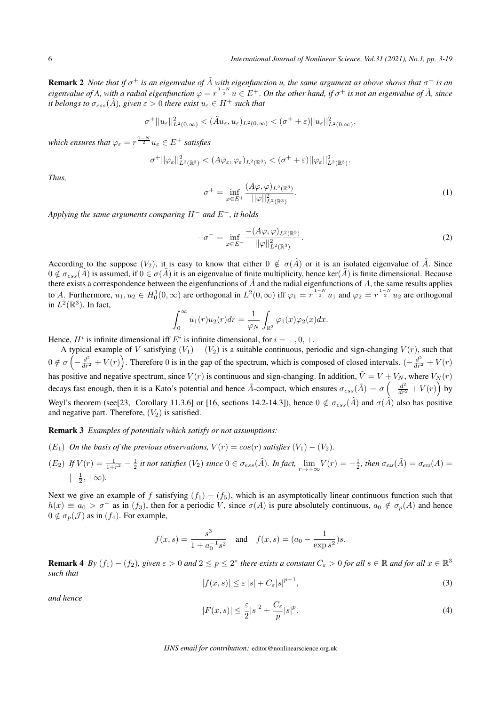**Remark 2** Note that if  $\sigma^+$  is an eigenvalue of  $\tilde{A}$  with eigenfunction u, the same argument as above shows that  $\sigma^+$  is an *eigenvalue of A, with a radial eigenfunction*  $\varphi = r^{\frac{1-N}{2}}u \in E^+$ . On the other hand, if  $\sigma^+$  is not an eigenvalue of  $\tilde{A}$ , since *it belongs to*  $\sigma_{ess}(\tilde{A})$ *, given*  $\varepsilon > 0$  *there exist*  $u_{\varepsilon} \in H^+$  *such that* 

$$
\sigma^+||u_{\varepsilon}||_{L^2(0,\infty)}^2 < (\tilde{A}u_{\varepsilon},u_{\varepsilon})_{L^2(0,\infty)} < (\sigma^+ + \varepsilon)||u_{\varepsilon}||_{L^2(0,\infty)}^2,
$$

*which ensures that*  $\varphi_{\varepsilon} = r^{\frac{1-N}{2}} u_{\varepsilon} \in E^+$  *satisfies* 

$$
\sigma^+ ||\varphi_{\varepsilon}||^2_{L^2(\mathbb{R}^3)} < (A\varphi_{\varepsilon}, \varphi_{\varepsilon})_{L^2(\mathbb{R}^3)} < (\sigma^+ + \varepsilon) ||\varphi_{\varepsilon}||^2_{L^2(\mathbb{R}^3)}.
$$

*Thus,*

$$
\sigma^{+} = \inf_{\varphi \in E^{+}} \frac{(A\varphi, \varphi)_{L^{2}(\mathbb{R}^{3})}}{\|\varphi\|_{L^{2}(\mathbb{R}^{3})}^{2}}.
$$
\n(1)

*Applying the same arguments comparing H<sup>−</sup> and E<sup>−</sup>, it holds*

$$
-\sigma^{-} = \inf_{\varphi \in E^{-}} \frac{-(A\varphi, \varphi)_{L^2(\mathbb{R}^3)}}{\|\varphi\|_{L^2(\mathbb{R}^3)}^2}.
$$
 (2)

According to the suppose  $(V_2)$ , it is easy to know that either  $0 \notin \sigma(\tilde{A})$  or it is an isolated eigenvalue of  $\tilde{A}$ . Since  $0 \notin \sigma_{ess}(\tilde{A})$  is assumed, if  $0 \in \sigma(\tilde{A})$  it is an eigenvalue of finite multiplicity, hence ker( $\tilde{A}$ ) is finite dimensional. Because there exists a correspondence between the eigenfunctions of  $\tilde{A}$  and the radial eigenfunctions of  $A$ , the same results applies to A. Furthermore,  $u_1, u_2 \in H_0^1(0, \infty)$  are orthogonal in  $L^2(0, \infty)$  iff  $\varphi_1 = r^{\frac{1-N}{2}}u_1$  and  $\varphi_2 = r^{\frac{1-N}{2}}u_2$  are orthogonal in  $L^2(\mathbb{R}^3)$ . In fact,

$$
\int_0^\infty u_1(r)u_2(r)dr = \frac{1}{\varphi_N} \int_{\mathbb{R}^3} \varphi_1(x)\varphi_2(x)dx.
$$

Hence,  $H^i$  is infinite dimensional iff  $E^i$  is infinite dimensional, for  $i = -, 0, +$ .

A typical example of *V* satisfying  $(V_1) - (V_2)$  is a suitable continuous, periodic and sign-changing  $V(r)$ , such that  $0 \notin \sigma \left(-\frac{d^2}{dr^2} + V(r)\right)$ . Therefore 0 is in the gap of the spectrum, which is composed of closed intervals.  $\left(-\frac{d^2}{dr^2} + V(r)\right)$ has positive and negative spectrum, since  $V(r)$  is continuous and sign-changing. In addition,  $\tilde{V} = V + V_N$ , where  $V_N(r)$ decays fast enough, then it is a Kato's potential and hence  $\tilde{A}$ -compact, which ensures  $\sigma_{ess}(\tilde{A}) = \sigma\left(-\frac{d^2}{dr^2} + V(r)\right)$  by Weyl's theorem (see[23, Corollary 11.3.6] or [16, sections 14.2-14.3]), hence  $0 \notin \sigma_{ess}(\tilde{A})$  and  $\sigma(\tilde{A})$  also has positive and negative part. Therefore,  $(V_2)$  is satisfied.

#### Remark 3 *Examples of potentials which satisfy or not assumptions:*

- (*E*<sub>1</sub>) *On the basis of the previous observations,*  $V(r) = cos(r)$  *satisfies*  $(V_1) (V_2)$ *.*
- $(E_2)$  If  $V(r) = \frac{1}{1+r^2} \frac{1}{2}$  it not satisfies  $(V_2)$  since  $0 \in \sigma_{ess}(\tilde{A})$ . In fact,  $\lim_{r \to +\infty} V(r) = -\frac{1}{2}$ , then  $\sigma_{ess}(\tilde{A}) = \sigma_{ess}(A)$  $[-\frac{1}{2}, +\infty)$ .

Next we give an example of *f* satisfying  $(f_1) - (f_5)$ , which is an asymptotically linear continuous function such that  $h(x) \equiv a_0 > \sigma^+$  as in  $(f_3)$ , then for a periodic *V*, since  $\sigma(A)$  is pure absolutely continuous,  $a_0 \notin \sigma_p(A)$  and hence  $0 \notin \sigma_p(\mathcal{J})$  as in  $(f_4)$ . For example,

$$
f(x, s) = \frac{s^3}{1 + a_0^{-1} s^2}
$$
 and  $f(x, s) = (a_0 - \frac{1}{\exp s^2})s$ .

**Remark 4** By  $(f_1) - (f_2)$ , given  $\varepsilon > 0$  and  $2 \le p \le 2^*$  there exists a constant  $C_\varepsilon > 0$  for all  $s \in \mathbb{R}$  and for all  $x \in \mathbb{R}^3$ *such that*

$$
|f(x,s)| \le \varepsilon |s| + C_{\varepsilon} |s|^{p-1},\tag{3}
$$

*and hence*

$$
|F(x,s)| \le \frac{\varepsilon}{2}|s|^2 + \frac{C_{\varepsilon}}{p}|s|^p. \tag{4}
$$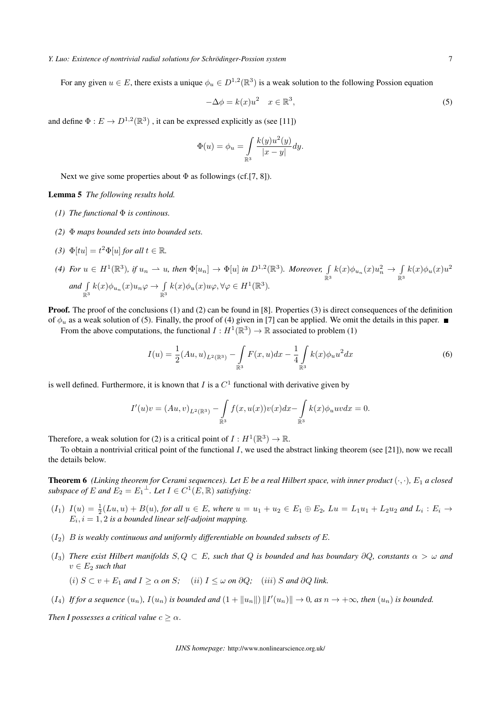#### *Y. Luo: Existence of nontrivial radial solutions for Schrodinger-Possion system ¨* 7

For any given  $u \in E$ , there exists a unique  $\phi_u \in D^{1,2}(\mathbb{R}^3)$  is a weak solution to the following Possion equation

$$
-\Delta \phi = k(x)u^2 \quad x \in \mathbb{R}^3,
$$
\n<sup>(5)</sup>

and define  $\Phi: E \to D^{1,2}(\mathbb{R}^3)$  , it can be expressed explicitly as (see [11])

$$
\Phi(u) = \phi_u = \int\limits_{\mathbb{R}^3} \frac{k(y)u^2(y)}{|x-y|} dy.
$$

Next we give some properties about  $\Phi$  as followings (cf.[7, 8]).

Lemma 5 *The following results hold.*

- *(1) The functional* Φ *is continous.*
- *(2)* Φ *maps bounded sets into bounded sets.*
- *(3)*  $\Phi[tu] = t^2 \Phi[u]$  *for all*  $t \in \mathbb{R}$ *.*
- *(4) For*  $u \in H^1(\mathbb{R}^3)$ , if  $u_n \to u$ , then  $\Phi[u_n] \to \Phi[u]$  in  $D^{1,2}(\mathbb{R}^3)$ . Moreover,  $\int$  $\mathbb{R}^3$  $k(x)\phi_{u_n}(x)u_n^2 \to \int$  $\mathbb{R}^3$  $k(x)\phi_u(x)u^2$ *and* ∫  $\mathbb{R}^3$  $k(x)\phi_{u_n}(x)u_n\varphi \to \int$  $\mathbb{R}^3$  $k(x)\phi_u(x)u\varphi, \forall \varphi \in H^1(\mathbb{R}^3)$ *.*

**Proof.** The proof of the conclusions (1) and (2) can be found in [8]. Properties (3) is direct consequences of the definition of  $\phi_u$  as a weak solution of (5). Finally, the proof of (4) given in [7] can be applied. We omit the details in this paper. ■

From the above computations, the functional  $I: H^1(\mathbb{R}^3) \to \mathbb{R}$  associated to problem (1)

$$
I(u) = \frac{1}{2} (Au, u)_{L^2(\mathbb{R}^3)} - \int_{\mathbb{R}^3} F(x, u) dx - \frac{1}{4} \int_{\mathbb{R}^3} k(x) \phi_u u^2 dx \tag{6}
$$

is well defined. Furthermore, it is known that  $I$  is a  $C<sup>1</sup>$  functional with derivative given by

$$
I'(u)v = (Au, v)_{L^2(\mathbb{R}^3)} - \int_{\mathbb{R}^3} f(x, u(x))v(x)dx - \int_{\mathbb{R}^3} k(x)\phi_u uv dx = 0.
$$

Therefore, a weak solution for (2) is a critical point of  $I: H^1(\mathbb{R}^3) \to \mathbb{R}$ .

To obtain a nontrivial critical point of the functional *I*, we used the abstract linking theorem (see [21]), now we recall the details below.

**Theorem 6** (Linking theorem for Cerami sequences). Let E be a real Hilbert space, with inner product  $(\cdot, \cdot)$ , E<sub>1</sub> a closed *subspace of*  $E$  *and*  $E_2 = E_1^{\perp}$ *. Let*  $I \in C^1(E, \mathbb{R})$  *satisfying:* 

- $(I_1)$   $I(u) = \frac{1}{2}(Lu, u) + B(u)$ , for all  $u \in E$ , where  $u = u_1 + u_2 \in E_1 \oplus E_2$ ,  $Lu = L_1u_1 + L_2u_2$  and  $L_i : E_i \to$  $E_i$ ,  $i = 1, 2$  *is a bounded linear self-adjoint mapping.*
- $(I_2)$  *B* is weakly continuous and uniformly differentiable on bounded subsets of E.
- (*I*3) *There exist Hilbert manifolds S, Q ⊂ E, such that Q is bounded and has boundary ∂Q, constants α > ω and*  $v \in E_2$  *such that* 
	- (i)  $S \subset v + E_1$  and  $I \ge \alpha$  on S; (ii)  $I \le \omega$  on  $\partial Q$ ; (iii) S and  $\partial Q$  link.
- $(I_4)$  If for a sequence  $(u_n)$ ,  $I(u_n)$  is bounded and  $(1+\|u_n\|)\|I'(u_n)\|\to 0$ , as  $n\to+\infty$ , then  $(u_n)$  is bounded.

*Then I possesses a critical value*  $c \geq \alpha$ .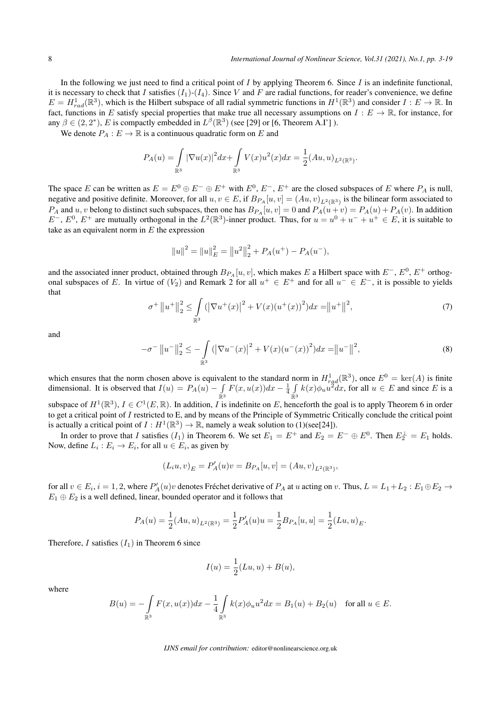In the following we just need to find a critical point of *I* by applying Theorem 6. Since *I* is an indefinite functional, it is necessary to check that *I* satisfies  $(I_1)-(I_4)$ . Since *V* and *F* are radial functions, for reader's convenience, we define  $E = H_{rad}^1(\mathbb{R}^3)$ , which is the Hilbert subspace of all radial symmetric functions in  $H^1(\mathbb{R}^3)$  and consider  $I: E \to \mathbb{R}$ . In fact, functions in *E* satisfy special properties that make true all necessary assumptions on  $I: E \to \mathbb{R}$ , for instance, for any  $\beta \in (2, 2^*)$ , *E* is compactly embedded in  $L^{\beta}(\mathbb{R}^3)$  (see [29] or [6, Theorem A.I'] ).

We denote  $P_A : E \to \mathbb{R}$  is a continuous quadratic form on *E* and

$$
P_A(u) = \int_{\mathbb{R}^3} |\nabla u(x)|^2 dx + \int_{\mathbb{R}^3} V(x)u^2(x) dx = \frac{1}{2} (Au, u)_{L^2(\mathbb{R}^3)}.
$$

The space *E* can be written as  $E = E^0 \oplus E^- \oplus E^+$  with  $E^0$ ,  $E^-$ ,  $E^+$  are the closed subspaces of *E* where  $P_A$  is null, negative and positive definite. Moreover, for all  $u, v \in E$ , if  $B_{P_A}[u, v] = (Au, v)_{L^2(\mathbb{R}^3)}$  is the bilinear form associated to  $P_A$  and  $u, v$  belong to distinct such subspaces, then one has  $B_{P_A}[u, v] = 0$  and  $P_A(u + v) = P_A(u) + P_A(v)$ . In addition  $E^-$ ,  $E^0$ ,  $E^+$  are mutually orthogonal in the  $L^2(\mathbb{R}^3)$ -inner product. Thus, for  $u = u^0 + u^- + u^+ \in E$ , it is suitable to take as an equivalent norm in *E* the expression

$$
||u||2 = ||u||E2 = ||u2||22 + PA(u+) - PA(u-),
$$

and the associated inner product, obtained through  $B_{PA}[u, v]$ , which makes *E* a Hilbert space with  $E^-, E^0, E^+$  orthogonal subspaces of *E*. In virtue of  $(V_2)$  and Remark 2 for all  $u^+ \in E^+$  and for all  $u^- \in E^-$ , it is possible to yields that

$$
\sigma^{+} \|u^{+}\|_{2}^{2} \leq \int_{\mathbb{R}^{3}} \left(\left|\nabla u^{+}(x)\right|^{2} + V(x)\left(u^{+}(x)\right)^{2}\right) dx = \|u^{+}\|^{2},\tag{7}
$$

and

$$
-\sigma^{-} \|u^{-}\|_{2}^{2} \leq -\int_{\mathbb{R}^{3}} (|\nabla u^{-}(x)|^{2} + V(x)(u^{-}(x))^{2}) dx = \|u^{-}\|^{2},
$$
\n(8)

which ensures that the norm chosen above is equivalent to the standard norm in  $H_{rad}^1(\mathbb{R}^3)$ , once  $E^0 = \text{ker}(A)$  is finite dimensional. It is observed that  $I(u) = P_A(u) - \int$  $\mathbb{R}^3$  $F(x, u(x))dx - \frac{1}{4} \int$  $\mathbb{R}^3$  $k(x)\phi_u u^2 dx$ , for all  $u \in E$  and since *E* is a

subspace of  $H^1(\mathbb{R}^3)$ ,  $I \in C^1(E, \mathbb{R})$ . In addition, *I* is indefinite on *E*, henceforth the goal is to apply Theorem 6 in order to get a critical point of *I* restricted to E, and by means of the Principle of Symmetric Critically conclude the critical point is actually a critical point of  $I: H^1(\mathbb{R}^3) \to \mathbb{R}$ , namely a weak solution to (1)(see[24]).

In order to prove that *I* satisfies  $(I_1)$  in Theorem 6. We set  $E_1 = E^+$  and  $E_2 = E^- \oplus E^0$ . Then  $E_2^{\perp} = E_1$  holds. Now, define  $L_i: E_i \to E_i$ , for all  $u \in E_i$ , as given by

$$
(L_i u, v)_E = P'_A(u)v = B_{P_A}[u, v] = (Au, v)_{L^2(\mathbb{R}^3)},
$$

for all  $v \in E_i$ ,  $i = 1, 2$ , where  $P'_A(u)v$  denotes Fréchet derivative of  $P_A$  at u acting on v. Thus,  $L = L_1 + L_2 : E_1 \oplus E_2 \to E_1$  $E_1 \oplus E_2$  is a well defined, linear, bounded operator and it follows that

$$
P_A(u)=\frac{1}{2}(Au,u)_{L^2(\mathbb{R}^3)}=\frac{1}{2}P_A'(u)u=\frac{1}{2}B_{P_A}[u,u]=\frac{1}{2}(Lu,u)_E.
$$

Therefore, *I* satisfies  $(I_1)$  in Theorem 6 since

$$
I(u) = \frac{1}{2}(Lu, u) + B(u),
$$

where

$$
B(u) = -\int_{\mathbb{R}^3} F(x, u(x))dx - \frac{1}{4} \int_{\mathbb{R}^3} k(x)\phi_u u^2 dx = B_1(u) + B_2(u) \quad \text{for all } u \in E.
$$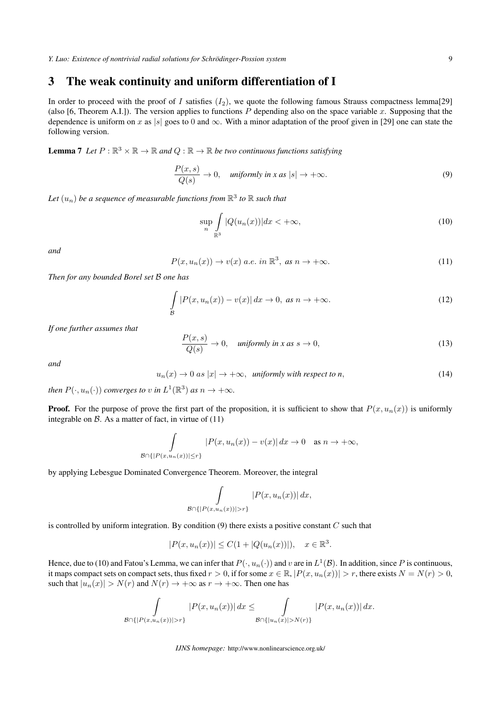## 3 The weak continuity and uniform differentiation of I

In order to proceed with the proof of *I* satisfies  $(I_2)$ , we quote the following famous Strauss compactness lemma[29] (also [6, Theorem A.I.]). The version applies to functions  $P$  depending also on the space variable  $x$ . Supposing that the dependence is uniform on *x* as |*s*| goes to 0 and  $\infty$ . With a minor adaptation of the proof given in [29] one can state the following version.

**Lemma 7** Let  $P : \mathbb{R}^3 \times \mathbb{R} \to \mathbb{R}$  and  $Q : \mathbb{R} \to \mathbb{R}$  be two continuous functions satisfying

$$
\frac{P(x,s)}{Q(s)} \to 0, \quad \text{uniformly in } x \text{ as } |s| \to +\infty. \tag{9}
$$

Let  $(u_n)$  be a sequence of measurable functions from  $\mathbb{R}^3$  to  $\mathbb R$  such that

$$
\sup_{n} \int_{\mathbb{R}^3} |Q(u_n(x))| dx < +\infty,
$$
\n(10)

*and*

$$
P(x, u_n(x)) \to v(x) \text{ a.e. in } \mathbb{R}^3, \text{ as } n \to +\infty.
$$
 (11)

*Then for any bounded Borel set B one has*

$$
\int_{\mathcal{B}} |P(x, u_n(x)) - v(x)| dx \to 0, \text{ as } n \to +\infty.
$$
 (12)

*If one further assumes that*

$$
\frac{P(x,s)}{Q(s)} \to 0, \quad \text{uniformly in } x \text{ as } s \to 0,
$$
\n
$$
(13)
$$

*and*

$$
u_n(x) \to 0 \text{ as } |x| \to +\infty, \text{ uniformly with respect to } n,
$$
 (14)

*then*  $P(\cdot, u_n(\cdot))$  *converges to v in*  $L^1(\mathbb{R}^3)$  *as*  $n \to +\infty$ *.* 

**Proof.** For the purpose of prove the first part of the proposition, it is sufficient to show that  $P(x, u_n(x))$  is uniformly integrable on  $\beta$ . As a matter of fact, in virtue of (11)

$$
\int_{\mathcal{B}\cap\{|P(x,u_n(x))|\leq r\}} |P(x,u_n(x))-v(x)|\,dx\to 0 \quad \text{as } n\to+\infty,
$$

by applying Lebesgue Dominated Convergence Theorem. Moreover, the integral

$$
\int_{\mathcal{B}\cap\{|P(x,u_n(x))|>r\}}|P(x,u_n(x))|\,dx,
$$

is controlled by uniform integration. By condition (9) there exists a positive constant *C* such that

$$
|P(x, u_n(x))| \le C(1 + |Q(u_n(x))|), \quad x \in \mathbb{R}^3.
$$

Hence, due to (10) and Fatou's Lemma, we can infer that  $P(\cdot, u_n(\cdot))$  and  $v$  are in  $L^1(\mathcal{B})$ . In addition, since  $P$  is continuous, it maps compact sets on compact sets, thus fixed  $r > 0$ , if for some  $x \in \mathbb{R}$ ,  $|P(x, u_n(x))| > r$ , there exists  $N = N(r) > 0$ , such that  $|u_n(x)| > N(r)$  and  $N(r) \to +\infty$  as  $r \to +\infty$ . Then one has

$$
\int_{\mathcal{B}\cap\{|P(x,u_n(x))|>r\}}|P(x,u_n(x))|\,dx\leq \int_{\mathcal{B}\cap\{|u_n(x)|>N(r)\}}|P(x,u_n(x))|\,dx.
$$

*IJNS homepage:* http://www.nonlinearscience.org.uk/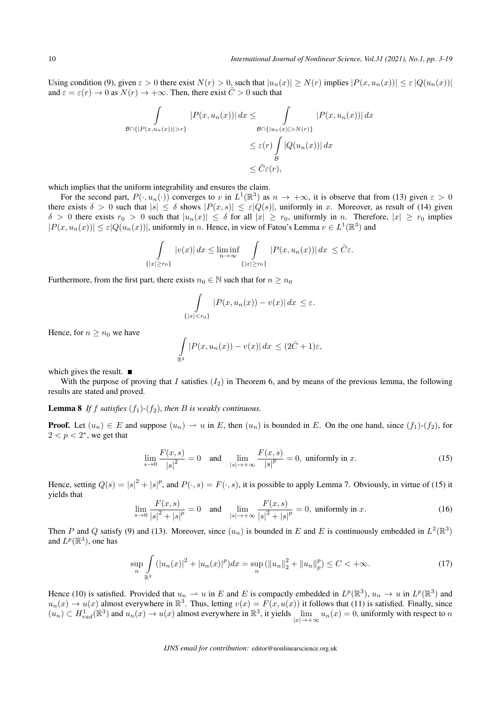Using condition (9), given  $\varepsilon > 0$  there exist  $N(r) > 0$ , such that  $|u_n(x)| \ge N(r)$  implies  $|P(x, u_n(x))| \le \varepsilon |Q(u_n(x))|$ and  $\varepsilon = \varepsilon(r) \to 0$  as  $N(r) \to +\infty$ . Then, there exist  $\overline{C} > 0$  such that

$$
\int_{\mathcal{B}\cap\{|P(x,u_n(x))|>r\}} |P(x,u_n(x))| dx \leq \int_{\mathcal{B}\cap\{|u_n(x)|>N(r)\}} |P(x,u_n(x))| dx
$$
  

$$
\leq \varepsilon(r) \int_{\mathcal{B}} |Q(u_n(x))| dx
$$
  

$$
\leq \bar{C}\varepsilon(r),
$$

which implies that the uniform integrability and ensures the claim.

For the second part,  $P(\cdot, u_n(\cdot))$  converges to *v* in  $L^1(\mathbb{R}^3)$  as  $n \to +\infty$ , it is observe that from (13) given  $\varepsilon > 0$ there exists  $\delta > 0$  such that  $|s| \leq \delta$  shows  $|P(x, s)| \leq \varepsilon |Q(s)|$ , uniformly in *x*. Moreover, as result of (14) given  $\delta > 0$  there exists  $r_0 > 0$  such that  $|u_n(x)| \leq \delta$  for all  $|x| \geq r_0$ , uniformly in n. Therefore,  $|x| \geq r_0$  implies  $|P(x, u_n(x))| \leq \varepsilon |Q(u_n(x))|$ , uniformly in *n*. Hence, in view of Fatou's Lemma  $v \in L^1(\mathbb{R}^3)$  and

$$
\int_{\{|x| \ge r_0\}} |v(x)| dx \le \liminf_{n \to \infty} \int_{\{|x| \ge r_0\}} |P(x, u_n(x))| dx \le \overline{C} \varepsilon.
$$

Furthermore, from the first part, there exists  $n_0 \in \mathbb{N}$  such that for  $n \geq n_0$ 

$$
\int_{\{|x|
$$

Hence, for  $n \geq n_0$  we have

$$
\int_{\mathbb{R}^3} |P(x, u_n(x)) - v(x)| dx \le (2\bar{C} + 1)\varepsilon,
$$

which gives the result.  $\blacksquare$ 

With the purpose of proving that *I* satisfies  $(I_2)$  in Theorem 6, and by means of the previous lemma, the following results are stated and proved.

#### **Lemma 8** If *f* satisfies  $(f_1)$ - $(f_2)$ , then *B* is weakly continuous.

**Proof.** Let  $(u_n) \in E$  and suppose  $(u_n) \to u$  in *E*, then  $(u_n)$  is bounded in *E*. On the one hand, since  $(f_1)$ - $(f_2)$ , for  $2 < p < 2^*$ , we get that

$$
\lim_{s \to 0} \frac{F(x, s)}{|s|^2} = 0 \quad \text{and} \quad \lim_{|s| \to +\infty} \frac{F(x, s)}{|s|^p} = 0, \text{ uniformly in } x. \tag{15}
$$

Hence, setting  $Q(s) = |s|^2 + |s|^p$ , and  $P(\cdot, s) = F(\cdot, s)$ , it is possible to apply Lemma 7. Obviously, in virtue of (15) it yields that

$$
\lim_{s \to 0} \frac{F(x, s)}{|s|^2 + |s|^p} = 0 \quad \text{and} \quad \lim_{|s| \to +\infty} \frac{F(x, s)}{|s|^2 + |s|^p} = 0, \text{ uniformly in } x. \tag{16}
$$

Then *P* and *Q* satisfy (9) and (13). Moreover, since  $(u_n)$  is bounded in *E* and *E* is continuously embedded in  $L^2(\mathbb{R}^3)$ and  $L^p(\mathbb{R}^3)$ , one has

$$
\sup_{n}\int_{\mathbb{R}^{3}}\left(|u_{n}(x)|^{2}+|u_{n}(x)|^{p}\right)dx=\sup_{n}\left(\|u_{n}\|_{2}^{2}+\|u_{n}\|_{p}^{p}\right)\leq C<+\infty.
$$
\n(17)

Hence (10) is satisfied. Provided that  $u_n \rightharpoonup u$  in *E* and *E* is compactly embedded in  $L^p(\mathbb{R}^3)$ ,  $u_n \to u$  in  $L^p(\mathbb{R}^3)$  and  $u_n(x) \to u(x)$  almost everywhere in  $\mathbb{R}^3$ . Thus, letting  $v(x) = F(x, u(x))$  it follows that (11) is satisfied. Finally, since  $(u_n) \subset H_{rad}^1(\mathbb{R}^3)$  and  $u_n(x) \to u(x)$  almost everywhere in  $\mathbb{R}^3$ , it yields  $\lim_{|x| \to +\infty} u_n(x) = 0$ , uniformly with respect to *n |x|→*+*∞*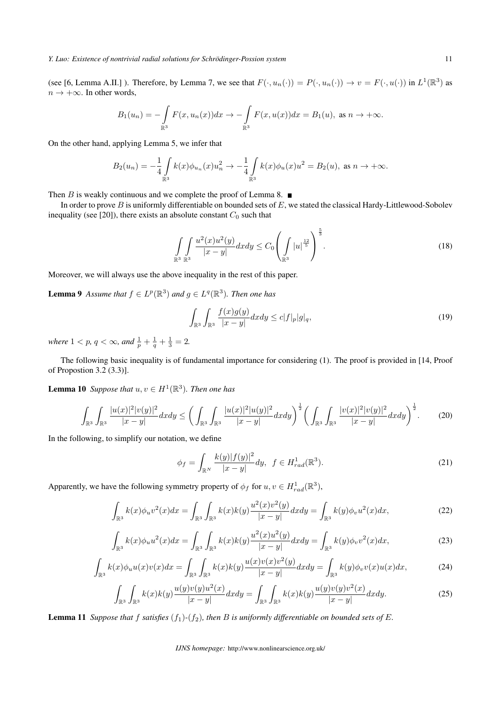(see [6, Lemma A.II.]). Therefore, by Lemma 7, we see that  $F(\cdot, u_n(\cdot)) = P(\cdot, u_n(\cdot)) \to v = F(\cdot, u(\cdot))$  in  $L^1(\mathbb{R}^3)$  as *n →* +*∞*. In other words,

$$
B_1(u_n) = -\int\limits_{\mathbb{R}^3} F(x, u_n(x))dx \to -\int\limits_{\mathbb{R}^3} F(x, u(x))dx = B_1(u), \text{ as } n \to +\infty.
$$

On the other hand, applying Lemma 5, we infer that

$$
B_2(u_n) = -\frac{1}{4} \int_{\mathbb{R}^3} k(x) \phi_{u_n}(x) u_n^2 \to -\frac{1}{4} \int_{\mathbb{R}^3} k(x) \phi_u(x) u^2 = B_2(u), \text{ as } n \to +\infty.
$$

Then *B* is weakly continuous and we complete the proof of Lemma 8.  $\blacksquare$ 

In order to prove *B* is uniformly differentiable on bounded sets of *E*, we stated the classical Hardy-Littlewood-Sobolev inequality (see [20]), there exists an absolute constant  $C_0$  such that

$$
\int_{\mathbb{R}^3} \int_{\mathbb{R}^3} \frac{u^2(x)u^2(y)}{|x-y|} dxdy \le C_0 \left(\int_{\mathbb{R}^3} |u|^{\frac{12}{5}}\right)^{\frac{5}{3}}.
$$
\n(18)

Moreover, we will always use the above inequality in the rest of this paper.

**Lemma 9** Assume that  $f \in L^p(\mathbb{R}^3)$  and  $g \in L^q(\mathbb{R}^3)$ . Then one has

$$
\int_{\mathbb{R}^3} \int_{\mathbb{R}^3} \frac{f(x)g(y)}{|x-y|} dx dy \le c|f|_p|g|_q,
$$
\n(19)

*where*  $1 < p$ ,  $q < \infty$ , and  $\frac{1}{p} + \frac{1}{q} + \frac{1}{3} = 2$ .

The following basic inequality is of fundamental importance for considering (1). The proof is provided in [14, Proof of Propostion 3.2 (3.3)].

**Lemma 10** Suppose that  $u, v \in H^1(\mathbb{R}^3)$ . Then one has

$$
\int_{\mathbb{R}^3} \int_{\mathbb{R}^3} \frac{|u(x)|^2 |v(y)|^2}{|x-y|} dxdy \le \bigg( \int_{\mathbb{R}^3} \int_{\mathbb{R}^3} \frac{|u(x)|^2 |u(y)|^2}{|x-y|} dxdy \bigg)^{\frac{1}{2}} \bigg( \int_{\mathbb{R}^3} \int_{\mathbb{R}^3} \frac{|v(x)|^2 |v(y)|^2}{|x-y|} dxdy \bigg)^{\frac{1}{2}}.
$$
 (20)

In the following, to simplify our notation, we define

$$
\phi_f = \int_{\mathbb{R}^N} \frac{k(y)|f(y)|^2}{|x - y|} dy, \ f \in H^1_{rad}(\mathbb{R}^3). \tag{21}
$$

Apparently, we have the following symmetry property of  $\phi_f$  for  $u, v \in H_{rad}^1(\mathbb{R}^3)$ ,

$$
\int_{\mathbb{R}^3} k(x)\phi_u v^2(x)dx = \int_{\mathbb{R}^3} \int_{\mathbb{R}^3} k(x)k(y) \frac{u^2(x)v^2(y)}{|x-y|} dxdy = \int_{\mathbb{R}^3} k(y)\phi_v u^2(x)dx,\tag{22}
$$

$$
\int_{\mathbb{R}^3} k(x)\phi_u u^2(x)dx = \int_{\mathbb{R}^3} \int_{\mathbb{R}^3} k(x)k(y) \frac{u^2(x)u^2(y)}{|x-y|} dxdy = \int_{\mathbb{R}^3} k(y)\phi_v v^2(x)dx,
$$
\n(23)

$$
\int_{\mathbb{R}^3} k(x)\phi_u u(x)v(x)dx = \int_{\mathbb{R}^3} \int_{\mathbb{R}^3} k(x)k(y)\frac{u(x)v(x)v^2(y)}{|x-y|}dxdy = \int_{\mathbb{R}^3} k(y)\phi_v v(x)u(x)dx,\tag{24}
$$

$$
\int_{\mathbb{R}^3} \int_{\mathbb{R}^3} k(x)k(y) \frac{u(y)v(y)u^2(x)}{|x-y|} dxdy = \int_{\mathbb{R}^3} \int_{\mathbb{R}^3} k(x)k(y) \frac{u(y)v(y)v^2(x)}{|x-y|} dxdy.
$$
\n(25)

**Lemma 11** Suppose that f satisfies  $(f_1)$ - $(f_2)$ , then *B* is uniformly differentiable on bounded sets of *E*.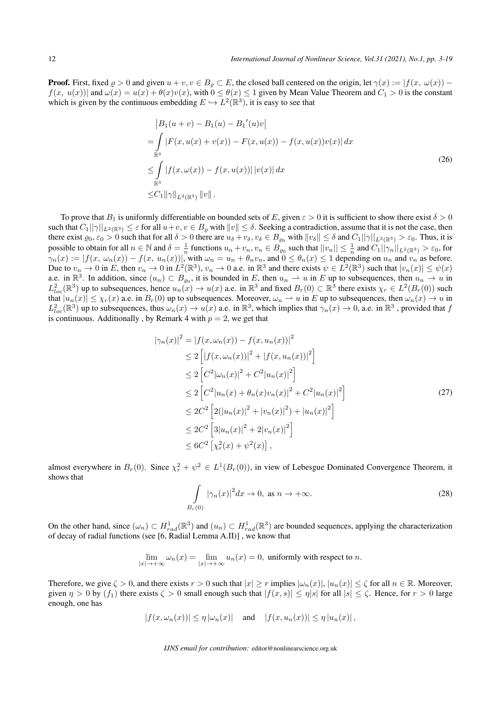**Proof.** First, fixed  $\varrho > 0$  and given  $u + v, v \in B_{\varrho} \subset E$ , the closed ball centered on the origin, let  $\gamma(x) := |f(x, \omega(x)) - \varrho(x)|$  $f(x, u(x))$  and  $\omega(x) = u(x) + \theta(x)v(x)$ , with  $0 \le \theta(x) \le 1$  given by Mean Value Theorem and  $C_1 > 0$  is the constant which is given by the continuous embedding  $E \hookrightarrow L^2(\mathbb{R}^3)$ , it is easy to see that

$$
|B_1(u + v) - B_1(u) - B_1'(u)v|
$$
  
= 
$$
\int_{\mathbb{R}^3} |F(x, u(x) + v(x)) - F(x, u(x)) - f(x, u(x))v(x)| dx
$$
  

$$
\leq \int_{\mathbb{R}^3} |f(x, \omega(x)) - f(x, u(x))| |v(x)| dx
$$
  

$$
\leq C_1 ||\gamma||_{L^2(\mathbb{R}^3)} ||v||.
$$
 (26)

To prove that  $B_1$  is uniformly differentiable on bounded sets of E, given  $\varepsilon > 0$  it is sufficient to show there exist  $\delta > 0$ such that  $C_1||\gamma||_{L^2(\mathbb{R}^3)} \leq \varepsilon$  for all  $u+v, v \in B_\rho$  with  $||v|| \leq \delta$ . Seeking a contradiction, assume that it is not the case, then there exist  $\varrho_0, \varepsilon_0 > 0$  such that for all  $\delta > 0$  there are  $u_\delta + v_\delta, v_\delta \in B_{\varrho_0}$  with  $||v_\delta|| \leq \delta$  and  $C_1||\gamma||_{L^2(\mathbb{R}^3)} > \varepsilon_0$ . Thus, it is possible to obtain for all  $n \in \mathbb{N}$  and  $\delta = \frac{1}{n}$  functions  $u_n + v_n$ ,  $v_n \in B_{\varrho_0}$  such that  $||v_n|| \leq \frac{1}{n}$  and  $C_1||\gamma_n||_{L^2(\mathbb{R}^3)} > \varepsilon_0$ , for  $\gamma_n(x) := |f(x, \omega_n(x)) - f(x, u_n(x))|$ , with  $\omega_n = u_n + \theta_n v_n$ , and  $0 \le \theta_n(x) \le 1$  depending on  $u_n$  and  $v_n$  as before. Due to  $v_n \to 0$  in E, then  $v_n \to 0$  in  $L^2(\mathbb{R}^3)$ ,  $v_n \to 0$  a.e. in  $\mathbb{R}^3$  and there exists  $\psi \in L^2(\mathbb{R}^3)$  such that  $|v_n(x)| \leq \psi(x)$ a.e. in  $\mathbb{R}^3$ . In addition, since  $(u_n) \subset B_{\varrho_0}$ , it is bounded in *E*, then  $u_n \to u$  in *E* up to subsequences, then  $u_n \to u$  in  $L_{loc}^2(\mathbb{R}^3)$  up to subsequences, hence  $u_n(x) \to u(x)$  a.e. in  $\mathbb{R}^3$  and fixed  $B_r(0) \subset \mathbb{R}^3$  there exists  $\chi_r \in L^2(B_r(0))$  such that  $|u_n(x)| \leq \chi_r(x)$  a.e. in  $B_r(0)$  up to subsequences. Moreover,  $\omega_n \rightharpoonup u$  in E up to subsequences, then  $\omega_n(x) \to u$  in  $L_{loc}^2(\mathbb{R}^3)$  up to subsequences, thus  $\omega_n(x) \to u(x)$  a.e. in  $\mathbb{R}^3$ , which implies that  $\gamma_n(x) \to 0$ , a.e. in  $\mathbb{R}^3$ , provided that *f* is continuous. Additionally, by Remark 4 with  $p = 2$ , we get that

$$
|\gamma_n(x)|^2 = |f(x, \omega_n(x)) - f(x, u_n(x))|^2
$$
  
\n
$$
\leq 2 \left[ |f(x, \omega_n(x))|^2 + |f(x, u_n(x))|^2 \right]
$$
  
\n
$$
\leq 2 \left[ C^2 |\omega_n(x)|^2 + C^2 |u_n(x)|^2 \right]
$$
  
\n
$$
\leq 2 \left[ C^2 |u_n(x) + \theta_n(x) v_n(x)|^2 + C^2 |u_n(x)|^2 \right]
$$
  
\n
$$
\leq 2C^2 \left[ 2(|u_n(x)|^2 + |v_n(x)|^2) + |u_n(x)|^2 \right]
$$
  
\n
$$
\leq 2C^2 \left[ 3|u_n(x)|^2 + 2|v_n(x)|^2 \right]
$$
  
\n
$$
\leq 6C^2 \left[ \chi_r^2(x) + \psi^2(x) \right],
$$
 (27)

almost everywhere in  $B_r(0)$ . Since  $\chi^2_r + \psi^2 \in L^1(B_r(0))$ , in view of Lebesgue Dominated Convergence Theorem, it shows that

$$
\int_{B_r(0)} |\gamma_n(x)|^2 dx \to 0, \text{ as } n \to +\infty.
$$
 (28)

On the other hand, since  $(\omega_n) \subset H_{rad}^1(\mathbb{R}^3)$  and  $(u_n) \subset H_{rad}^1(\mathbb{R}^3)$  are bounded sequences, applying the characterization of decay of radial functions (see [6, Radial Lemma A.II)] , we know that

$$
\lim_{|x| \to +\infty} \omega_n(x) = \lim_{|x| \to +\infty} u_n(x) = 0
$$
, uniformly with respect to n.

Therefore, we give  $\zeta > 0$ , and there exists  $r > 0$  such that  $|x| \ge r$  implies  $|\omega_n(x)|, |u_n(x)| \le \zeta$  for all  $n \in \mathbb{R}$ . Moreover, given  $\eta > 0$  by  $(f_1)$  there exists  $\zeta > 0$  small enough such that  $|f(x, s)| \leq \eta |s|$  for all  $|s| \leq \zeta$ . Hence, for  $r > 0$  large enough, one has

$$
|f(x, \omega_n(x))| \le \eta |\omega_n(x)| \quad \text{and} \quad |f(x, u_n(x))| \le \eta |u_n(x)|,
$$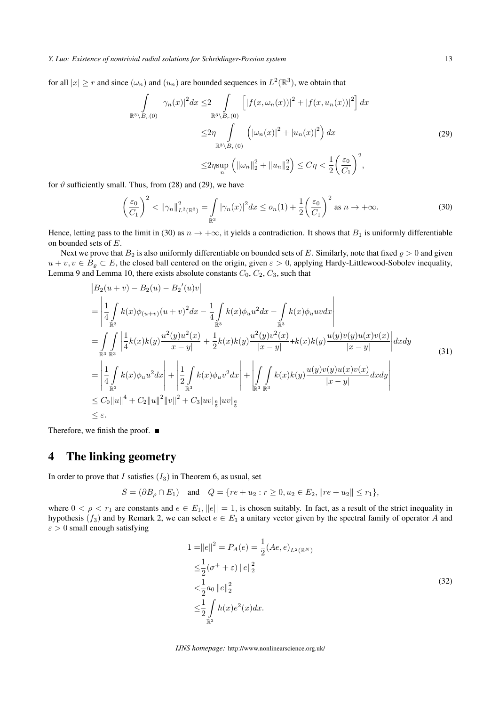for all  $|x| \ge r$  and since  $(\omega_n)$  and  $(u_n)$  are bounded sequences in  $L^2(\mathbb{R}^3)$ , we obtain that

$$
\int_{\mathbb{R}^{3}\setminus B_{r}(0)} |\gamma_{n}(x)|^{2} dx \leq 2 \int_{\mathbb{R}^{3}\setminus B_{r}(0)} \left[ |f(x, \omega_{n}(x))|^{2} + |f(x, u_{n}(x))|^{2} \right] dx
$$
  

$$
\leq 2\eta \int_{\mathbb{R}^{3}\setminus B_{r}(0)} \left( |\omega_{n}(x)|^{2} + |u_{n}(x)|^{2} \right) dx
$$
  

$$
\leq 2\eta \sup_{n} \left( ||\omega_{n}||_{2}^{2} + ||u_{n}||_{2}^{2} \right) \leq C\eta < \frac{1}{2} \left( \frac{\varepsilon_{0}}{C_{1}} \right)^{2},
$$
 (29)

for  $\vartheta$  sufficiently small. Thus, from (28) and (29), we have

$$
\left(\frac{\varepsilon_0}{C_1}\right)^2 < \|\gamma_n\|_{L^2(\mathbb{R}^3)}^2 = \int_{\mathbb{R}^3} |\gamma_n(x)|^2 dx \le o_n(1) + \frac{1}{2} \left(\frac{\varepsilon_0}{C_1}\right)^2 \text{ as } n \to +\infty. \tag{30}
$$

Hence, letting pass to the limit in (30) as  $n \to +\infty$ , it yields a contradiction. It shows that  $B_1$  is uniformly differentiable on bounded sets of *E*.

Next we prove that  $B_2$  is also uniformly differentiable on bounded sets of E. Similarly, note that fixed  $\rho > 0$  and given  $u + v, v \in B_{\varrho} \subset E$ , the closed ball centered on the origin, given  $\varepsilon > 0$ , applying Hardy-Littlewood-Sobolev inequality, Lemma 9 and Lemma 10, there exists absolute constants  $C_0$ ,  $C_2$ ,  $C_3$ , such that

$$
|B_{2}(u+v) - B_{2}(u) - B_{2}'(u)v|
$$
  
\n
$$
= \left| \frac{1}{4} \int_{\mathbb{R}^{3}} k(x) \phi_{(u+v)}(u+v)^{2} dx - \frac{1}{4} \int_{\mathbb{R}^{3}} k(x) \phi_{u} u^{2} dx - \int_{\mathbb{R}^{3}} k(x) \phi_{u} u v dx \right|
$$
  
\n
$$
= \int_{\mathbb{R}^{3}} \int_{\mathbb{R}^{3}} \left| \frac{1}{4} k(x) k(y) \frac{u^{2}(y) u^{2}(x)}{|x-y|} + \frac{1}{2} k(x) k(y) \frac{u^{2}(y) v^{2}(x)}{|x-y|} + k(x) k(y) \frac{u(y) v(y) u(x) v(x)}{|x-y|} \right| dxdy
$$
  
\n
$$
= \left| \frac{1}{4} \int_{\mathbb{R}^{3}} k(x) \phi_{u} u^{2} dx \right| + \left| \frac{1}{2} \int_{\mathbb{R}^{3}} k(x) \phi_{u} v^{2} dx \right| + \left| \int_{\mathbb{R}^{3}} \int_{\mathbb{R}^{3}} k(x) k(y) \frac{u(y) v(y) u(x) v(x)}{|x-y|} dxdy \right|
$$
  
\n
$$
\leq C_{0} ||u||^{4} + C_{2} ||u||^{2} ||v||^{2} + C_{3} |uv|_{\frac{6}{5}} |uv|_{\frac{6}{5}}
$$
  
\n
$$
\leq \varepsilon.
$$

Therefore, we finish the proof.  $\blacksquare$ 

# 4 The linking geometry

In order to prove that *I* satisfies  $(I_3)$  in Theorem 6, as usual, set

$$
S = (\partial B_{\rho} \cap E_1) \quad \text{and} \quad Q = \{ re + u_2 : r \ge 0, u_2 \in E_2, ||re + u_2|| \le r_1 \},
$$

where  $0 < \rho < r_1$  are constants and  $e \in E_1$ ,  $||e|| = 1$ , is chosen suitably. In fact, as a result of the strict inequality in hypothesis ( $f_3$ ) and by Remark 2, we can select  $e \in E_1$  a unitary vector given by the spectral family of operator *A* and *ε >* 0 small enough satisfying

$$
1 = ||e||^2 = P_A(e) = \frac{1}{2} (Ae, e)_{L^2(\mathbb{R}^N)}
$$
  
\n
$$
\leq \frac{1}{2} (\sigma^+ + \varepsilon) ||e||_2^2
$$
  
\n
$$
< \frac{1}{2} a_0 ||e||_2^2
$$
  
\n
$$
\leq \frac{1}{2} \int_{\mathbb{R}^3} h(x) e^2(x) dx.
$$
\n(32)

*IJNS homepage:* http://www.nonlinearscience.org.uk/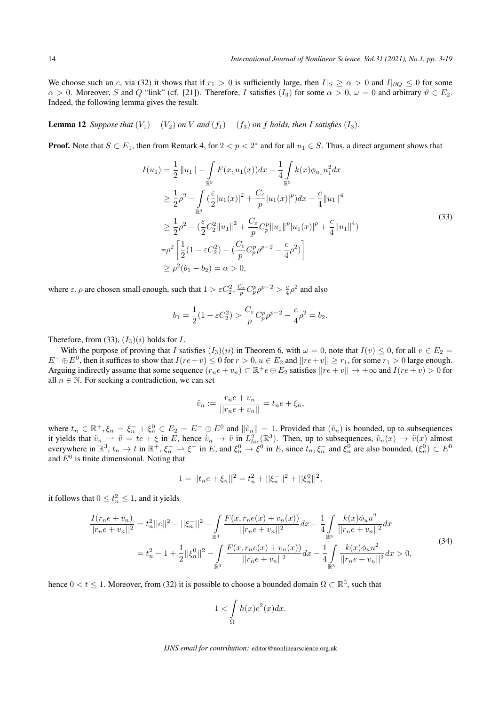We choose such an *e*, via (32) it shows that if  $r_1 > 0$  is sufficiently large, then  $I|_S \ge \alpha > 0$  and  $I|_{\partial Q} \le 0$  for some  $\alpha > 0$ . Moreover, *S* and *Q* "link" (cf. [21]). Therefore, *I* satisfies (*I*<sub>3</sub>) for some  $\alpha > 0$ ,  $\omega = 0$  and arbitrary  $\vartheta \in E_2$ . Indeed, the following lemma gives the result.

**Lemma 12** *Suppose that*  $(V_1) - (V_2)$  *on*  $V$  *and*  $(f_1) - (f_3)$  *on*  $f$  *holds, then*  $I$  *satisfies*  $(I_3)$ *.* 

**Proof.** Note that  $S \subset E_1$ , then from Remark 4, for  $2 < p < 2^*$  and for all  $u_1 \in S$ . Thus, a direct argument shows that

$$
I(u_1) = \frac{1}{2} ||u_1|| - \int_{\mathbb{R}^3} F(x, u_1(x)) dx - \frac{1}{4} \int_{\mathbb{R}^3} k(x) \phi_{u_1} u_1^2 dx
$$
  
\n
$$
\geq \frac{1}{2} \rho^2 - \int_{\mathbb{R}^3} (\frac{\varepsilon}{2} |u_1(x)|^2 + \frac{C_{\varepsilon}}{p} |u_1(x)|^p) dx - \frac{c}{4} ||u_1||^4
$$
  
\n
$$
\geq \frac{1}{2} \rho^2 - (\frac{\varepsilon}{2} C_2^2 ||u_1||^2 + \frac{C_{\varepsilon}}{p} C_p^p ||u_1||^p |u_1(x)|^p + \frac{c}{4} ||u_1||^4)
$$
  
\n
$$
= \rho^2 \left[ \frac{1}{2} (1 - \varepsilon C_2^2) - (\frac{C_{\varepsilon}}{p} C_p^p \rho^{p-2} - \frac{c}{4} \rho^2) \right]
$$
  
\n
$$
\geq \rho^2 (b_1 - b_2) = \alpha > 0,
$$
 (33)

where  $\varepsilon$ ,  $\rho$  are chosen small enough, such that  $1 > \varepsilon C_2^2$ ,  $\frac{C_\varepsilon}{p} C_p^p \rho^{p-2} > \frac{c}{4} \rho^2$  and also

$$
b_1 = \frac{1}{2}(1 - \varepsilon C_2^2) > \frac{C_{\varepsilon}}{p} C_p^p \rho^{p-2} - \frac{c}{4} \rho^2 = b_2.
$$

Therefore, from (33),  $(I_3)(i)$  holds for *I*.

With the purpose of proving that *I* satisfies  $(I_3)(ii)$  in Theorem 6, with  $\omega = 0$ , note that  $I(v) \leq 0$ , for all  $v \in E_2 =$  $E^- \oplus E^0$ , then it suffices to show that  $I(re+v) \le 0$  for  $r > 0$ ,  $u \in E_2$  and  $||re+v|| \ge r_1$ , for some  $r_1 > 0$  large enough. Arguing indirectly assume that some sequence  $(r_n e + v_n) \subset \mathbb{R}^+ e \oplus E_2$  satisfies  $||re + v|| \to +\infty$  and  $I(re + v) > 0$  for all  $n \in \mathbb{N}$ . For seeking a contradiction, we can set

$$
\tilde{v}_n := \frac{r_n e + v_n}{||r_n e + v_n||} = t_n e + \xi_n,
$$

where  $t_n \in \mathbb{R}^+, \xi_n = \xi_n^- + \xi_n^0 \in E_2 = E^- \oplus E^0$  and  $\|\tilde{v}_n\| = 1$ . Provided that  $(\tilde{v}_n)$  is bounded, up to subsequences it yields that  $\tilde{v}_n \rightharpoonup \tilde{v} = te + \xi$  in E, hence  $\tilde{v}_n \to \tilde{v}$  in  $L^2_{loc}(\mathbb{R}^3)$ . Then, up to subsequences,  $\tilde{v}_n(x) \to \tilde{v}(x)$  almost everywhere in  $\mathbb{R}^3$ ,  $t_n \to t$  in  $\mathbb{R}^+, \xi_n^- \to \xi^-$  in E, and  $\xi_n^0 \to \xi^0$  in E, since  $t_n, \xi_n^-$  and  $\xi_n^0$  are also bounded,  $(\xi_n^0) \subset E^0$ and  $E^0$  is finite dimensional. Noting that

$$
1 = ||t_n e + \xi_n||^2 = t_n^2 + ||\xi_n^-||^2 + ||\xi_n^0||^2,
$$

it follows that  $0 \le t_n^2 \le 1$ , and it yields

$$
\frac{I(r_ne + v_n)}{||r_ne + v_n||^2} = t_n^2 ||e||^2 - ||\xi_n^-||^2 - \int_{\mathbb{R}^3} \frac{F(x, r_ne(x) + v_n(x))}{||r_ne + v_n||^2} dx - \frac{1}{4} \int_{\mathbb{R}^3} \frac{k(x)\phi_u u^2}{||r_ne + v_n||^2} dx
$$
  

$$
= t_n^2 - 1 + \frac{1}{2} ||\xi_n^0||^2 - \int_{\mathbb{R}^3} \frac{F(x, r_ne(x) + v_n(x))}{||r_ne + v_n||^2} dx - \frac{1}{4} \int_{\mathbb{R}^3} \frac{k(x)\phi_u u^2}{||r_ne + v_n||^2} dx > 0,
$$
(34)

hence  $0 < t \leq 1$ . Moreover, from (32) it is possible to choose a bounded domain  $\Omega \subset \mathbb{R}^3$ , such that

$$
1 < \int_{\Omega} h(x)e^{2}(x)dx.
$$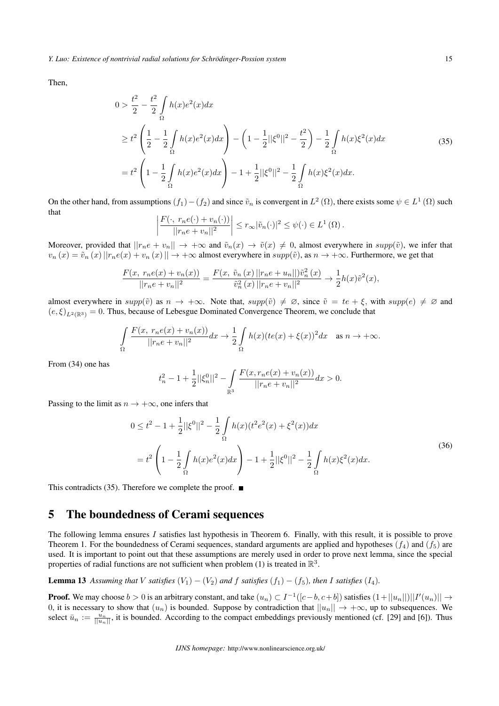$\overline{\phantom{a}}$  $\overline{\phantom{a}}$  $\overline{\phantom{a}}$ 

Then,

$$
0 > \frac{t^2}{2} - \frac{t^2}{2} \int_{\Omega} h(x)e^2(x)dx
$$
  
\n
$$
\geq t^2 \left(\frac{1}{2} - \frac{1}{2} \int_{\Omega} h(x)e^2(x)dx\right) - \left(1 - \frac{1}{2}||\xi^0||^2 - \frac{t^2}{2}\right) - \frac{1}{2} \int_{\Omega} h(x)\xi^2(x)dx
$$
  
\n
$$
= t^2 \left(1 - \frac{1}{2} \int_{\Omega} h(x)e^2(x)dx\right) - 1 + \frac{1}{2}||\xi^0||^2 - \frac{1}{2} \int_{\Omega} h(x)\xi^2(x)dx.
$$
 (35)

On the other hand, from assumptions  $(f_1) - (f_2)$  and since  $\tilde{v}_n$  is convergent in  $L^2(\Omega)$ , there exists some  $\psi \in L^1(\Omega)$  such that  $\overline{\phantom{a}}$ 

$$
\frac{F(\cdot, r_n e(\cdot) + v_n(\cdot))}{||r_n e + v_n||^2} \leq r_\infty |\tilde{v}_n(\cdot)|^2 \leq \psi(\cdot) \in L^1(\Omega).
$$

Moreover, provided that  $||r_ne + v_n|| \to +\infty$  and  $\tilde{v}_n(x) \to \tilde{v}(x) \neq 0$ , almost everywhere in  $supp(\tilde{v})$ , we infer that  $v_n(x) = \tilde{v}_n(x) ||r_n e(x) + v_n(x)|| \rightarrow +\infty$  almost everywhere in  $supp(\tilde{v})$ , as  $n \rightarrow +\infty$ . Furthermore, we get that

$$
\frac{F(x, r_n e(x) + v_n(x))}{||r_n e + v_n||^2} = \frac{F(x, \tilde{v}_n(x) || r_n e + u_n ||) \tilde{v}_n^2(x)}{\tilde{v}_n^2(x) || r_n e + v_n ||^2} \to \frac{1}{2} h(x) \tilde{v}^2(x),
$$

almost everywhere in  $supp(\tilde{v})$  as  $n \to +\infty$ . Note that,  $supp(\tilde{v}) \neq \emptyset$ , since  $\tilde{v} = te + \xi$ , with  $supp(e) \neq \emptyset$  and  $(e, \xi)_{L^2(\mathbb{R}^3)} = 0$ . Thus, because of Lebesgue Dominated Convergence Theorem, we conclude that

$$
\int_{\Omega} \frac{F(x, r_n e(x) + v_n(x))}{||r_n e + v_n||^2} dx \to \frac{1}{2} \int_{\Omega} h(x) (te(x) + \xi(x))^2 dx \quad \text{as } n \to +\infty.
$$

From (34) one has

$$
t_n^2 - 1 + \frac{1}{2} ||\xi_n^0||^2 - \int_{\mathbb{R}^3} \frac{F(x, r_n e(x) + v_n(x))}{||r_n e + v_n||^2} dx > 0.
$$

Passing to the limit as  $n \to +\infty$ , one infers that

$$
0 \le t^2 - 1 + \frac{1}{2} ||\xi^0||^2 - \frac{1}{2} \int_{\Omega} h(x)(t^2 e^2(x) + \xi^2(x)) dx
$$
  
=  $t^2 \left( 1 - \frac{1}{2} \int_{\Omega} h(x) e^2(x) dx \right) - 1 + \frac{1}{2} ||\xi^0||^2 - \frac{1}{2} \int_{\Omega} h(x) \xi^2(x) dx.$  (36)

This contradicts (35). Therefore we complete the proof.  $\blacksquare$ 

### 5 The boundedness of Cerami sequences

The following lemma ensures *I* satisfies last hypothesis in Theorem 6. Finally, with this result, it is possible to prove Theorem 1. For the boundedness of Cerami sequences, standard arguments are applied and hypotheses  $(f_4)$  and  $(f_5)$  are used. It is important to point out that these assumptions are merely used in order to prove next lemma, since the special properties of radial functions are not sufficient when problem (1) is treated in  $\mathbb{R}^3$ .

**Lemma 13** Assuming that *V* satisfies  $(V_1) - (V_2)$  and  $f$  satisfies  $(f_1) - (f_5)$ , then  $I$  satisfies  $(I_4)$ .

**Proof.** We may choose  $b > 0$  is an arbitrary constant, and take  $(u_n) \subset I^{-1}([c-b, c+b])$  satisfies  $(1+||u_n||)||I'(u_n)|| \to$ 0, it is necessary to show that  $(u_n)$  is bounded. Suppose by contradiction that  $||u_n|| \to +\infty$ , up to subsequences. We select  $\bar{u}_n := \frac{u_n}{||u_n||}$ , it is bounded. According to the compact embeddings previously mentioned (cf. [29] and [6]). Thus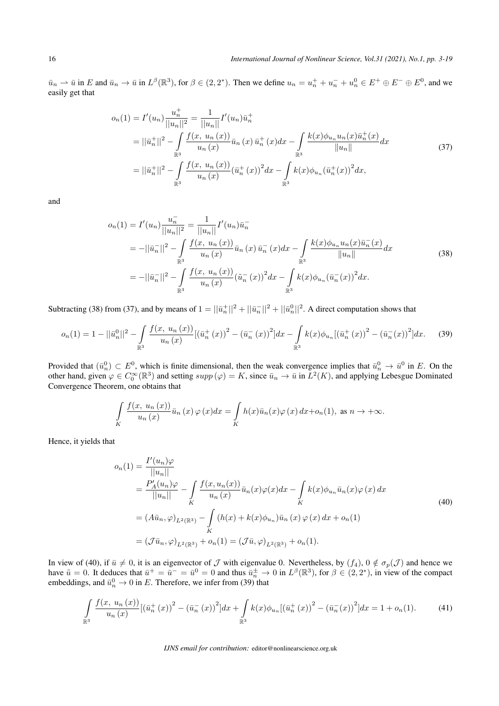$\bar{u}_n \rightharpoonup \bar{u}$  in E and  $\bar{u}_n \to \bar{u}$  in  $L^{\beta}(\mathbb{R}^3)$ , for  $\beta \in (2, 2^*)$ . Then we define  $u_n = u_n^+ + u_n^- + u_n^0 \in E^+ \oplus E^- \oplus E^0$ , and we easily get that

$$
o_n(1) = I'(u_n) \frac{u_n^+}{||u_n||^2} = \frac{1}{||u_n||} I'(u_n) \bar{u}_n^+
$$
  
\n
$$
= ||\bar{u}_n^+||^2 - \int_{\mathbb{R}^3} \frac{f(x, u_n(x))}{u_n(x)} \bar{u}_n(x) \bar{u}_n^+(x) dx - \int_{\mathbb{R}^3} \frac{k(x) \phi_{u_n} u_n(x) \bar{u}_n^+(x)}{||u_n||} dx
$$
  
\n
$$
= ||\bar{u}_n^+||^2 - \int_{\mathbb{R}^3} \frac{f(x, u_n(x))}{u_n(x)} (\bar{u}_n^+(x))^2 dx - \int_{\mathbb{R}^3} k(x) \phi_{u_n} (\bar{u}_n^+(x))^2 dx,
$$
\n(37)

and

$$
o_n(1) = I'(u_n) \frac{u_n^2}{||u_n||^2} = \frac{1}{||u_n||} I'(u_n) \bar{u}_n
$$
  
\n
$$
= -||\bar{u}_n||^2 - \int_{\mathbb{R}^3} \frac{f(x, u_n(x))}{u_n(x)} \bar{u}_n(x) \bar{u}_n(x) dx - \int_{\mathbb{R}^3} \frac{k(x) \phi_{u_n} u_n(x) \bar{u}_n(x)}{||u_n||} dx
$$
  
\n
$$
= -||\bar{u}_n||^2 - \int_{\mathbb{R}^3} \frac{f(x, u_n(x))}{u_n(x)} (\tilde{u}_n^-(x))^2 dx - \int_{\mathbb{R}^3} k(x) \phi_{u_n} (\bar{u}_n^-(x))^2 dx.
$$
\n(38)

Subtracting (38) from (37), and by means of  $1 = ||\bar{u}_n^+||^2 + ||\bar{u}_n^-||^2 + ||\bar{u}_n^0||^2$ . A direct computation shows that

$$
o_n(1) = 1 - ||\bar{u}_n^0||^2 - \int_{\mathbb{R}^3} \frac{f(x, u_n(x))}{u_n(x)} [(\bar{u}_n^+(x))^2 - (\bar{u}_n^-(x))^2] dx - \int_{\mathbb{R}^3} k(x) \phi_{u_n} [(\bar{u}_n^+(x))^2 - (\bar{u}_n^-(x))^2] dx. \tag{39}
$$

Provided that  $(\bar{u}_n^0) \subset E^0$ , which is finite dimensional, then the weak convergence implies that  $\bar{u}_n^0 \to \bar{u}^0$  in *E*. On the other hand, given  $\varphi \in C_0^{\infty}(\mathbb{R}^3)$  and setting  $supp(\varphi) = K$ , since  $\bar{u}_n \to \bar{u}$  in  $L^2(K)$ , and applying Lebesgue Dominated Convergence Theorem, one obtains that

$$
\int\limits_K \frac{f(x, u_n(x))}{u_n(x)} \bar{u}_n(x) \varphi(x) dx = \int\limits_K h(x) \bar{u}_n(x) \varphi(x) dx + o_n(1), \text{ as } n \to +\infty.
$$

Hence, it yields that

$$
o_n(1) = \frac{I'(u_n)\varphi}{||u_n||}
$$
  
=  $\frac{P'_A(u_n)\varphi}{||u_n||} - \int_K \frac{f(x, u_n(x))}{u_n(x)} \bar{u}_n(x)\varphi(x) dx - \int_K k(x)\phi_{u_n} \bar{u}_n(x)\varphi(x) dx$   
=  $(A\bar{u}_n, \varphi)_{L^2(\mathbb{R}^3)} - \int_K (h(x) + k(x)\phi_{u_n}) \bar{u}_n(x)\varphi(x) dx + o_n(1)$   
=  $(\mathcal{J}\bar{u}_n, \varphi)_{L^2(\mathbb{R}^3)} + o_n(1) = (\mathcal{J}\bar{u}, \varphi)_{L^2(\mathbb{R}^3)} + o_n(1).$  (40)

In view of (40), if  $\bar{u} \neq 0$ , it is an eigenvector of *J* with eigenvalue 0. Nevertheless, by  $(f_4)$ ,  $0 \notin \sigma_p(\mathcal{J})$  and hence we have  $\tilde{u} = 0$ . It deduces that  $\bar{u}^+ = \bar{u}^- = \bar{u}^0 = 0$  and thus  $\bar{u}_n^{\pm} \to 0$  in  $L^{\beta}(\mathbb{R}^3)$ , for  $\beta \in (2, 2^*)$ , in view of the compact embeddings, and  $\bar{u}_n^0 \to 0$  in *E*. Therefore, we infer from (39) that

$$
\int_{\mathbb{R}^3} \frac{f(x, u_n(x))}{u_n(x)} \left[ \left(\bar{u}_n^+(x)\right)^2 - \left(\bar{u}_n^-(x)\right)^2 \right] dx + \int_{\mathbb{R}^3} k(x) \phi_{u_n} \left[ \left(\bar{u}_n^+(x)\right)^2 - \left(\bar{u}_n^-(x)\right)^2 \right] dx = 1 + o_n(1). \tag{41}
$$

*IJNS email for contribution:* editor@nonlinearscience.org.uk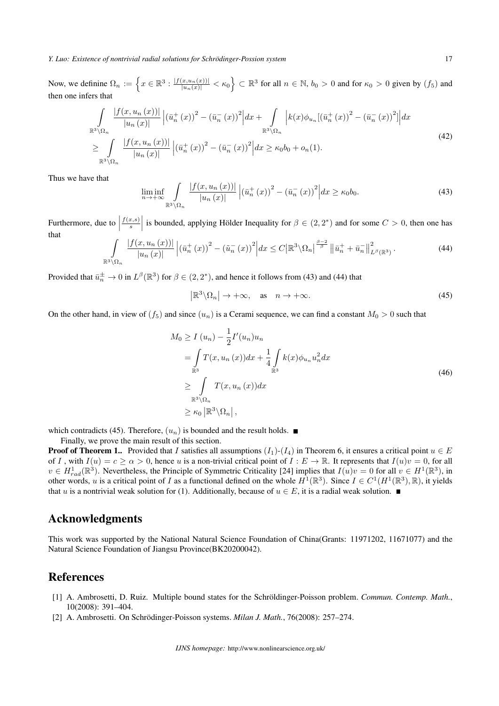*Y. Luo: Existence of nontrivial radial solutions for Schrodinger-Possion system ¨* 17

Now, we definine  $\Omega_n := \left\{ x \in \mathbb{R}^3 : \frac{|f(x, u_n(x))|}{|u_n(x)|} < \kappa_0 \right\} \subset \mathbb{R}^3$  for all  $n \in \mathbb{N}$ ,  $b_0 > 0$  and for  $\kappa_0 > 0$  given by  $(f_5)$  and then one infers that

$$
\int_{\mathbb{R}^{3}\setminus\Omega_{n}}\frac{|f(x,u_{n}(x))|}{|u_{n}(x)|}\left|\left(\bar{u}_{n}^{+}(x)\right)^{2}-\left(\bar{u}_{n}^{-}(x)\right)^{2}\right|dx+\int_{\mathbb{R}^{3}\setminus\Omega_{n}}\left|k(x)\phi_{u_{n}}\left[\left(\bar{u}_{n}^{+}(x)\right)^{2}-\left(\bar{u}_{n}^{-}(x)\right)^{2}\right|\right|dx
$$
\n
$$
\geq \int_{\mathbb{R}^{3}\setminus\Omega_{n}}\frac{|f(x,u_{n}(x))|}{|u_{n}(x)|}\left|\left(\bar{u}_{n}^{+}(x)\right)^{2}-\left(\bar{u}_{n}^{-}(x)\right)^{2}\right|dx\geq \kappa_{0}b_{0}+o_{n}(1).
$$
\n(42)

Thus we have that

$$
\liminf_{n \to +\infty} \int\limits_{\mathbb{R}^3 \setminus \Omega_n} \frac{|f(x, u_n(x))|}{|u_n(x)|} \left| \left(\bar{u}_n^+(x)\right)^2 - \left(\bar{u}_n^-(x)\right)^2 \right| dx \ge \kappa_0 b_0. \tag{43}
$$

Furthermore, due to  $\vert$ *f*(*x,s*)  $\left| \int_{s}^{x,s} \right|$  is bounded, applying Hölder Inequality for  $\beta \in (2, 2^*)$  and for some  $C > 0$ , then one has that

$$
\int_{\mathbb{R}^3 \setminus \Omega_n} \frac{|f(x, u_n(x))|}{|u_n(x)|} \left| \left(\bar{u}_n^+(x)\right)^2 - \left(\tilde{u}_n^-(x)\right)^2 \right| dx \le C \left| \mathbb{R}^3 \setminus \Omega_n \right|^\frac{\beta - 2}{\beta} \left\| \bar{u}_n^+ + \bar{u}_n^- \right\|_{L^\beta(\mathbb{R}^3)}^2. \tag{44}
$$

Provided that  $\bar{u}_n^{\pm} \to 0$  in  $L^{\beta}(\mathbb{R}^3)$  for  $\beta \in (2, 2^*)$ , and hence it follows from (43) and (44) that

$$
\left| \mathbb{R}^3 \backslash \Omega_n \right| \to +\infty, \quad \text{as} \quad n \to +\infty. \tag{45}
$$

On the other hand, in view of  $(f_5)$  and since  $(u_n)$  is a Cerami sequence, we can find a constant  $M_0 > 0$  such that

$$
M_0 \ge I (u_n) - \frac{1}{2} I'(u_n) u_n
$$
  
= 
$$
\int_{\mathbb{R}^3} T(x, u_n(x)) dx + \frac{1}{4} \int_{\mathbb{R}^3} k(x) \phi_{u_n} u_n^2 dx
$$
  

$$
\ge \int_{\mathbb{R}^3 \setminus \Omega_n} T(x, u_n(x)) dx
$$
  

$$
\ge \kappa_0 |\mathbb{R}^3 \setminus \Omega_n|,
$$
 (46)

which contradicts (45). Therefore,  $(u_n)$  is bounded and the result holds.

Finally, we prove the main result of this section.

**Proof of Theorem 1..** Provided that *I* satisfies all assumptions  $(I_1)$ - $(I_4)$  in Theorem 6, it ensures a critical point  $u \in E$ of *I*, with  $I(u) = c \ge \alpha > 0$ , hence *u* is a non-trivial critical point of  $I: E \to \mathbb{R}$ . It represents that  $I(u)v = 0$ , for all  $v \in H_{rad}^1(\mathbb{R}^3)$ . Nevertheless, the Principle of Symmetric Criticality [24] implies that  $I(u)v = 0$  for all  $v \in H^1(\mathbb{R}^3)$ , in other words, *u* is a critical point of *I* as a functional defined on the whole  $H^1(\mathbb{R}^3)$ . Since  $I \in C^1(H^1(\mathbb{R}^3), \mathbb{R})$ , it yields that *u* is a nontrivial weak solution for (1). Additionally, because of  $u \in E$ , it is a radial weak solution.

### Acknowledgments

This work was supported by the National Natural Science Foundation of China(Grants: 11971202, 11671077) and the Natural Science Foundation of Jiangsu Province(BK20200042).

### References

- [1] A. Ambrosetti, D. Ruiz. Multiple bound states for the Schröldinger-Poisson problem. *Commun. Contemp. Math.*, 10(2008): 391–404.
- [2] A. Ambrosetti. On Schrödinger-Poisson systems. *Milan J. Math.*, 76(2008): 257–274.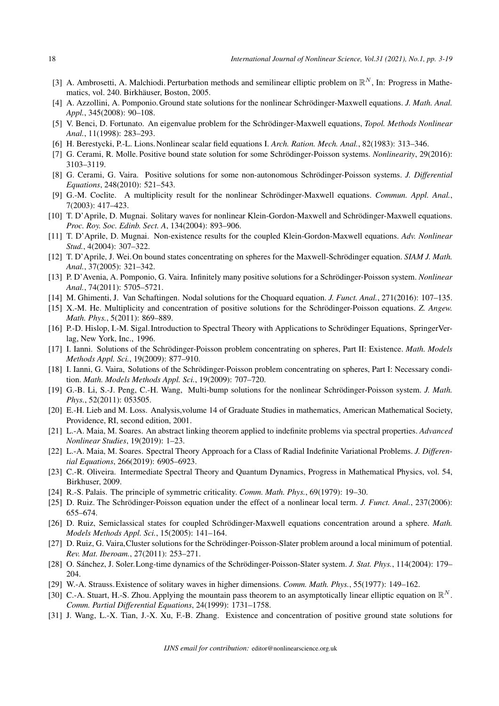- [3] A. Ambrosetti, A. Malchiodi. Perturbation methods and semilinear elliptic problem on  $\mathbb{R}^N$ , In: Progress in Mathematics, vol. 240. Birkhäuser, Boston, 2005.
- [4] A. Azzollini, A. Pomponio. Ground state solutions for the nonlinear Schrödinger-Maxwell equations. *J. Math. Anal. Appl.*, 345(2008): 90–108.
- [5] V. Benci, D. Fortunato. An eigenvalue problem for the Schrödinger-Maxwell equations, *Topol. Methods Nonlinear Anal.*, 11(1998): 283–293.
- [6] H. Berestycki, P.-L. Lions.Nonlinear scalar field equations I. *Arch. Ration. Mech. Anal.*, 82(1983): 313–346.
- [7] G. Cerami, R. Molle. Positive bound state solution for some Schrödinger-Poisson systems. *Nonlinearity*, 29(2016): 3103–3119.
- [8] G. Cerami, G. Vaira. Positive solutions for some non-autonomous Schrödinger-Poisson systems. *J. Differential Equations*, 248(2010): 521–543.
- [9] G.-M. Coclite. A multiplicity result for the nonlinear Schrödinger-Maxwell equations. *Commun. Appl. Anal.*, 7(2003): 417–423.
- [10] T. D'Aprile, D. Mugnai. Solitary waves for nonlinear Klein-Gordon-Maxwell and Schrodinger-Maxwell equations. ¨ *Proc. Roy. Soc. Edinb. Sect. A*, 134(2004): 893–906.
- [11] T. D'Aprile, D. Mugnai. Non-existence results for the coupled Klein-Gordon-Maxwell equations. *Adv. Nonlinear Stud.*, 4(2004): 307–322.
- [12] T. D'Aprile, J. Wei. On bound states concentrating on spheres for the Maxwell-Schrödinger equation. SIAM J. Math. *Anal.*, 37(2005): 321–342.
- [13] P. D'Avenia, A. Pomponio, G. Vaira. Infinitely many positive solutions for a Schrödinger-Poisson system. *Nonlinear Anal.*, 74(2011): 5705–5721.
- [14] M. Ghimenti, J. Van Schaftingen. Nodal solutions for the Choquard equation. *J. Funct. Anal.*, 271(2016): 107–135.
- [15] X.-M. He. Multiplicity and concentration of positive solutions for the Schrödinger-Poisson equations. *Z. Angew. Math. Phys.*, 5(2011): 869–889.
- [16] P.-D. Hislop, I.-M. Sigal. Introduction to Spectral Theory with Applications to Schrödinger Equations, SpringerVerlag, New York, Inc., 1996.
- [17] I. Ianni. Solutions of the Schrödinger-Poisson problem concentrating on spheres, Part II: Existence. *Math. Models Methods Appl. Sci.*, 19(2009): 877–910.
- [18] I. Ianni, G. Vaira, Solutions of the Schrödinger-Poisson problem concentrating on spheres, Part I: Necessary condition. *Math. Models Methods Appl. Sci.*, 19(2009): 707–720.
- [19] G.-B. Li, S.-J. Peng, C.-H. Wang, Multi-bump solutions for the nonlinear Schrödinger-Poisson system. *J. Math. Phys.*, 52(2011): 053505.
- [20] E.-H. Lieb and M. Loss. Analysis,volume 14 of Graduate Studies in mathematics, American Mathematical Society, Providence, RI, second edition, 2001.
- [21] L.-A. Maia, M. Soares. An abstract linking theorem applied to indefinite problems via spectral properties. *Advanced Nonlinear Studies*, 19(2019): 1–23.
- [22] L.-A. Maia, M. Soares. Spectral Theory Approach for a Class of Radial Indefinite Variational Problems. *J. Differential Equations*, 266(2019): 6905–6923.
- [23] C.-R. Oliveira. Intermediate Spectral Theory and Quantum Dynamics, Progress in Mathematical Physics, vol. 54, Birkhuser, 2009.
- [24] R.-S. Palais. The principle of symmetric criticality. *Comm. Math. Phys.*, 69(1979): 19–30.
- [25] D. Ruiz. The Schrödinger-Poisson equation under the effect of a nonlinear local term. *J. Funct. Anal.*, 237(2006): 655–674.
- [26] D. Ruiz, Semiclassical states for coupled Schrödinger-Maxwell equations concentration around a sphere. Math. *Models Methods Appl. Sci.*, 15(2005): 141–164.
- [27] D. Ruiz, G. Vaira, Cluster solutions for the Schrödinger-Poisson-Slater problem around a local minimum of potential. *Rev. Mat. Iberoam.*, 27(2011): 253–271.
- [28] O. Sánchez, J. Soler. Long-time dynamics of the Schrödinger-Poisson-Slater system. *J. Stat. Phys.*, 114(2004): 179– 204.
- [29] W.-A. Strauss.Existence of solitary waves in higher dimensions. *Comm. Math. Phys.*, 55(1977): 149–162.
- [30] C.-A. Stuart, H.-S. Zhou. Applying the mountain pass theorem to an asymptotically linear elliptic equation on  $\mathbb{R}^N$ . *Comm. Partial Differential Equations*, 24(1999): 1731–1758.
- [31] J. Wang, L.-X. Tian, J.-X. Xu, F.-B. Zhang. Existence and concentration of positive ground state solutions for